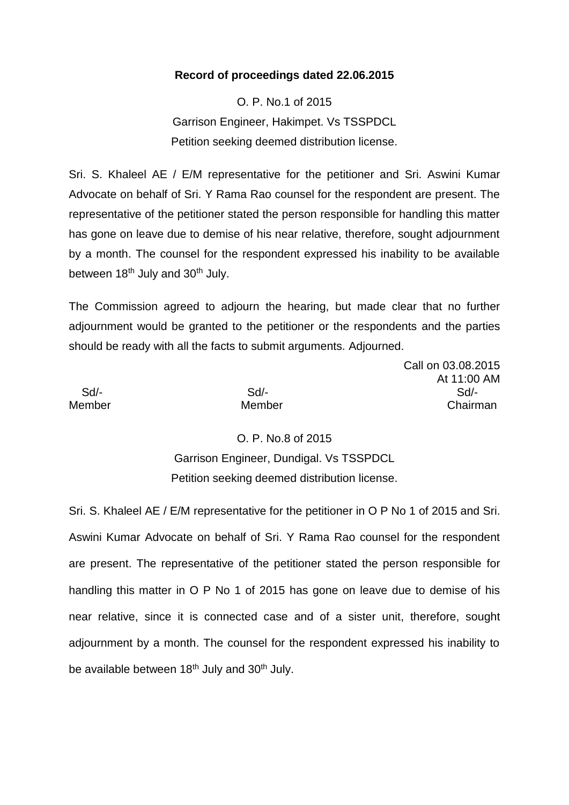#### **Record of proceedings dated 22.06.2015**

O. P. No.1 of 2015 Garrison Engineer, Hakimpet. Vs TSSPDCL Petition seeking deemed distribution license.

Sri. S. Khaleel AE / E/M representative for the petitioner and Sri. Aswini Kumar Advocate on behalf of Sri. Y Rama Rao counsel for the respondent are present. The representative of the petitioner stated the person responsible for handling this matter has gone on leave due to demise of his near relative, therefore, sought adjournment by a month. The counsel for the respondent expressed his inability to be available between 18<sup>th</sup> July and 30<sup>th</sup> July.

The Commission agreed to adjourn the hearing, but made clear that no further adjournment would be granted to the petitioner or the respondents and the parties should be ready with all the facts to submit arguments. Adjourned.

Call on 03.08.2015 At 11:00 AM Sd/- Sd/- Sd/- Member Member Chairman

O. P. No.8 of 2015 Garrison Engineer, Dundigal. Vs TSSPDCL Petition seeking deemed distribution license.

Sri. S. Khaleel AE / E/M representative for the petitioner in O P No 1 of 2015 and Sri. Aswini Kumar Advocate on behalf of Sri. Y Rama Rao counsel for the respondent are present. The representative of the petitioner stated the person responsible for handling this matter in O P No 1 of 2015 has gone on leave due to demise of his near relative, since it is connected case and of a sister unit, therefore, sought adjournment by a month. The counsel for the respondent expressed his inability to be available between 18<sup>th</sup> July and 30<sup>th</sup> July.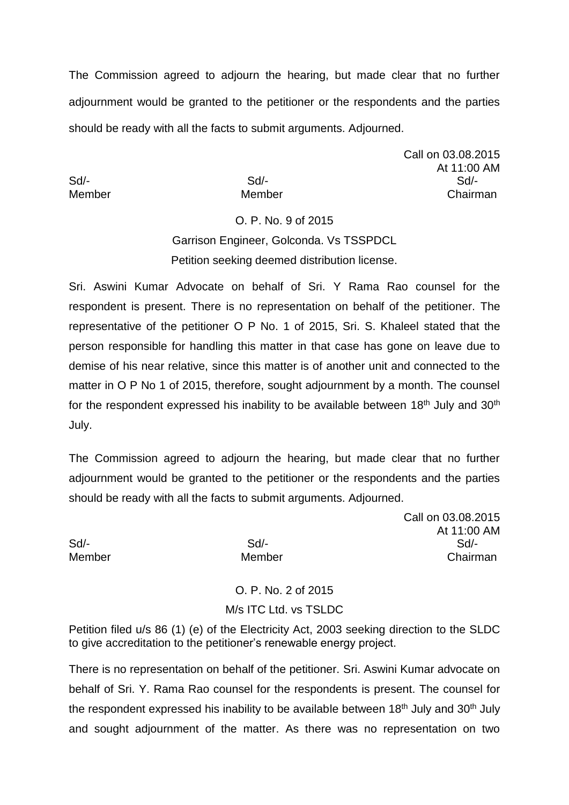The Commission agreed to adjourn the hearing, but made clear that no further adjournment would be granted to the petitioner or the respondents and the parties should be ready with all the facts to submit arguments. Adjourned.

Call on 03.08.2015 At 11:00 AM Sd/- Sd/- Sd/- Member Member Chairman

# O. P. No. 9 of 2015 Garrison Engineer, Golconda. Vs TSSPDCL Petition seeking deemed distribution license.

Sri. Aswini Kumar Advocate on behalf of Sri. Y Rama Rao counsel for the respondent is present. There is no representation on behalf of the petitioner. The representative of the petitioner O P No. 1 of 2015, Sri. S. Khaleel stated that the person responsible for handling this matter in that case has gone on leave due to demise of his near relative, since this matter is of another unit and connected to the matter in O P No 1 of 2015, therefore, sought adjournment by a month. The counsel for the respondent expressed his inability to be available between 18<sup>th</sup> July and 30<sup>th</sup> July.

The Commission agreed to adjourn the hearing, but made clear that no further adjournment would be granted to the petitioner or the respondents and the parties should be ready with all the facts to submit arguments. Adjourned.

Call on 03.08.2015 At 11:00 AM Sd/- Sd/- Sd/- Member Member Chairman

> O. P. No. 2 of 2015 M/s ITC Ltd. vs TSLDC

Petition filed u/s 86 (1) (e) of the Electricity Act, 2003 seeking direction to the SLDC to give accreditation to the petitioner's renewable energy project.

There is no representation on behalf of the petitioner. Sri. Aswini Kumar advocate on behalf of Sri. Y. Rama Rao counsel for the respondents is present. The counsel for the respondent expressed his inability to be available between  $18<sup>th</sup>$  July and  $30<sup>th</sup>$  July and sought adjournment of the matter. As there was no representation on two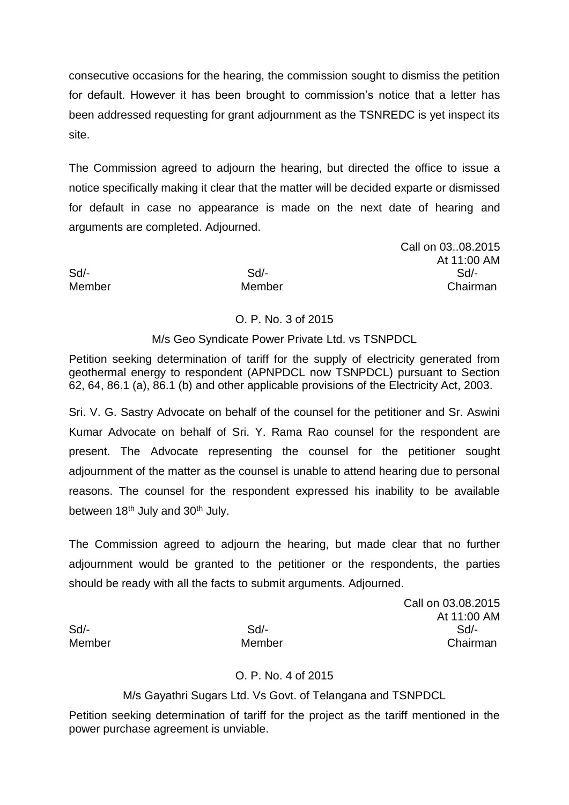consecutive occasions for the hearing, the commission sought to dismiss the petition for default. However it has been brought to commission's notice that a letter has been addressed requesting for grant adjournment as the TSNREDC is yet inspect its site.

The Commission agreed to adjourn the hearing, but directed the office to issue a notice specifically making it clear that the matter will be decided exparte or dismissed for default in case no appearance is made on the next date of hearing and arguments are completed. Adjourned.

Call on 03..08.2015 At 11:00 AM Sd/- Sd/- Sd/- Member Member Chairman

#### O. P. No. 3 of 2015

M/s Geo Syndicate Power Private Ltd. vs TSNPDCL

Petition seeking determination of tariff for the supply of electricity generated from geothermal energy to respondent (APNPDCL now TSNPDCL) pursuant to Section 62, 64, 86.1 (a), 86.1 (b) and other applicable provisions of the Electricity Act, 2003.

Sri. V. G. Sastry Advocate on behalf of the counsel for the petitioner and Sr. Aswini Kumar Advocate on behalf of Sri. Y. Rama Rao counsel for the respondent are present. The Advocate representing the counsel for the petitioner sought adjournment of the matter as the counsel is unable to attend hearing due to personal reasons. The counsel for the respondent expressed his inability to be available between  $18<sup>th</sup>$  July and  $30<sup>th</sup>$  July.

The Commission agreed to adjourn the hearing, but made clear that no further adjournment would be granted to the petitioner or the respondents, the parties should be ready with all the facts to submit arguments. Adjourned.

Call on 03.08.2015 At 11:00 AM Sd/- Sd/- Sd/- Member Member Chairman

## O. P. No. 4 of 2015

M/s Gayathri Sugars Ltd. Vs Govt. of Telangana and TSNPDCL

Petition seeking determination of tariff for the project as the tariff mentioned in the power purchase agreement is unviable.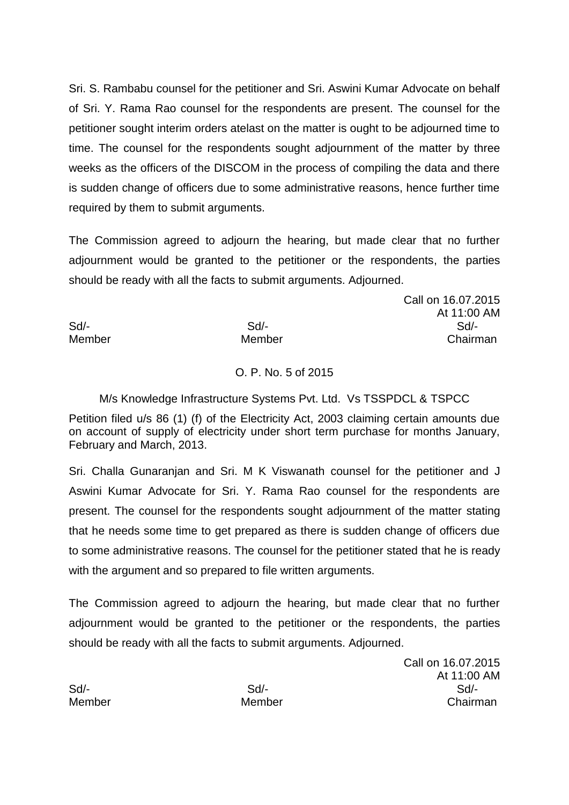Sri. S. Rambabu counsel for the petitioner and Sri. Aswini Kumar Advocate on behalf of Sri. Y. Rama Rao counsel for the respondents are present. The counsel for the petitioner sought interim orders atelast on the matter is ought to be adjourned time to time. The counsel for the respondents sought adjournment of the matter by three weeks as the officers of the DISCOM in the process of compiling the data and there is sudden change of officers due to some administrative reasons, hence further time required by them to submit arguments.

The Commission agreed to adjourn the hearing, but made clear that no further adjournment would be granted to the petitioner or the respondents, the parties should be ready with all the facts to submit arguments. Adjourned.

Call on 16.07.2015 At 11:00 AM Sd/- Sd/- Sd/- Member Member Chairman

## O. P. No. 5 of 2015

M/s Knowledge Infrastructure Systems Pvt. Ltd. Vs TSSPDCL & TSPCC

Petition filed u/s 86 (1) (f) of the Electricity Act, 2003 claiming certain amounts due on account of supply of electricity under short term purchase for months January, February and March, 2013.

Sri. Challa Gunaranjan and Sri. M K Viswanath counsel for the petitioner and J Aswini Kumar Advocate for Sri. Y. Rama Rao counsel for the respondents are present. The counsel for the respondents sought adjournment of the matter stating that he needs some time to get prepared as there is sudden change of officers due to some administrative reasons. The counsel for the petitioner stated that he is ready with the argument and so prepared to file written arguments.

The Commission agreed to adjourn the hearing, but made clear that no further adjournment would be granted to the petitioner or the respondents, the parties should be ready with all the facts to submit arguments. Adjourned.

Call on 16.07.2015 At 11:00 AM Sd/- Sd/- Sd/- Member Member Chairman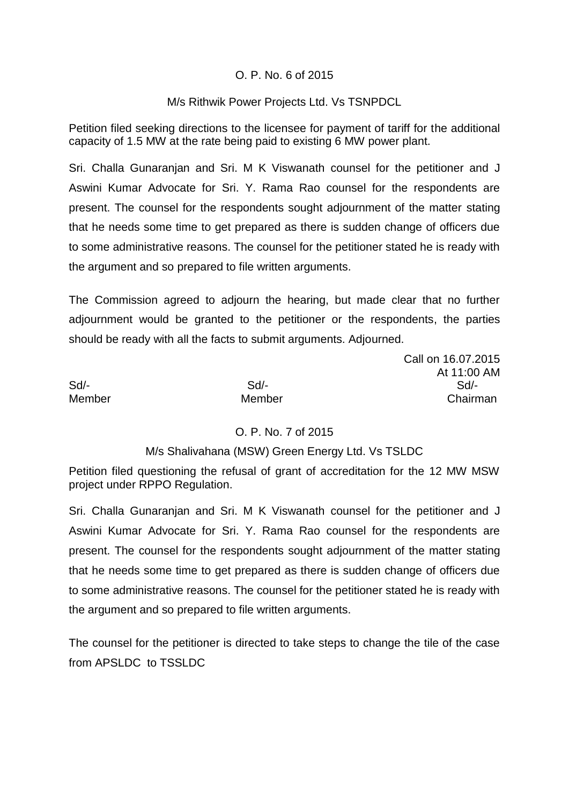#### O. P. No. 6 of 2015

#### M/s Rithwik Power Projects Ltd. Vs TSNPDCL

Petition filed seeking directions to the licensee for payment of tariff for the additional capacity of 1.5 MW at the rate being paid to existing 6 MW power plant.

Sri. Challa Gunaranjan and Sri. M K Viswanath counsel for the petitioner and J Aswini Kumar Advocate for Sri. Y. Rama Rao counsel for the respondents are present. The counsel for the respondents sought adjournment of the matter stating that he needs some time to get prepared as there is sudden change of officers due to some administrative reasons. The counsel for the petitioner stated he is ready with the argument and so prepared to file written arguments.

The Commission agreed to adjourn the hearing, but made clear that no further adjournment would be granted to the petitioner or the respondents, the parties should be ready with all the facts to submit arguments. Adjourned.

Call on 16.07.2015 At 11:00 AM Sd/- Sd/- Sd/- Member Member Chairman

## O. P. No. 7 of 2015

#### M/s Shalivahana (MSW) Green Energy Ltd. Vs TSLDC

Petition filed questioning the refusal of grant of accreditation for the 12 MW MSW project under RPPO Regulation.

Sri. Challa Gunaranjan and Sri. M K Viswanath counsel for the petitioner and J Aswini Kumar Advocate for Sri. Y. Rama Rao counsel for the respondents are present. The counsel for the respondents sought adjournment of the matter stating that he needs some time to get prepared as there is sudden change of officers due to some administrative reasons. The counsel for the petitioner stated he is ready with the argument and so prepared to file written arguments.

The counsel for the petitioner is directed to take steps to change the tile of the case from APSLDC to TSSLDC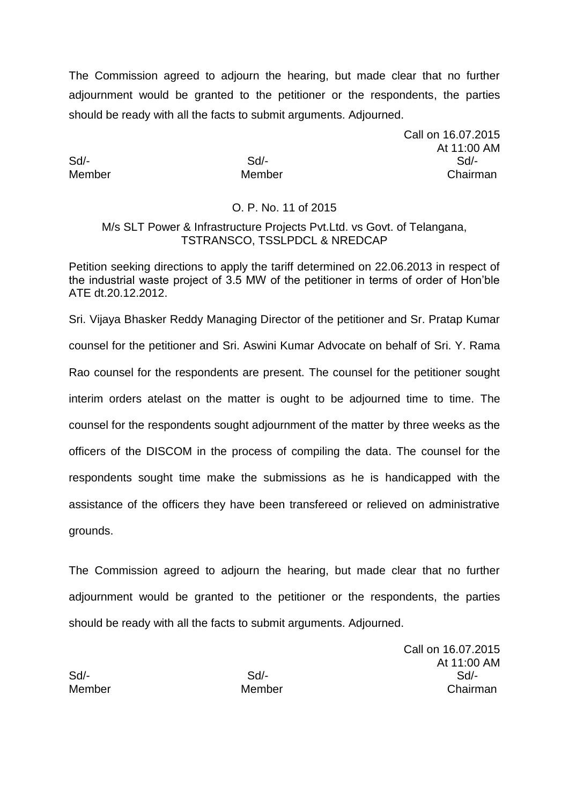The Commission agreed to adjourn the hearing, but made clear that no further adjournment would be granted to the petitioner or the respondents, the parties should be ready with all the facts to submit arguments. Adjourned.

Call on 16.07.2015 At 11:00 AM Sd/- Sd/- Sd/- Member Member Chairman

#### O. P. No. 11 of 2015

#### M/s SLT Power & Infrastructure Projects Pvt.Ltd. vs Govt. of Telangana, TSTRANSCO, TSSLPDCL & NREDCAP

Petition seeking directions to apply the tariff determined on 22.06.2013 in respect of the industrial waste project of 3.5 MW of the petitioner in terms of order of Hon'ble ATE dt.20.12.2012.

Sri. Vijaya Bhasker Reddy Managing Director of the petitioner and Sr. Pratap Kumar counsel for the petitioner and Sri. Aswini Kumar Advocate on behalf of Sri. Y. Rama Rao counsel for the respondents are present. The counsel for the petitioner sought interim orders atelast on the matter is ought to be adjourned time to time. The counsel for the respondents sought adjournment of the matter by three weeks as the officers of the DISCOM in the process of compiling the data. The counsel for the respondents sought time make the submissions as he is handicapped with the assistance of the officers they have been transfereed or relieved on administrative grounds.

The Commission agreed to adjourn the hearing, but made clear that no further adjournment would be granted to the petitioner or the respondents, the parties should be ready with all the facts to submit arguments. Adjourned.

Call on 16.07.2015 At 11:00 AM Sd/- Sd/- Sd/- Member Member Chairman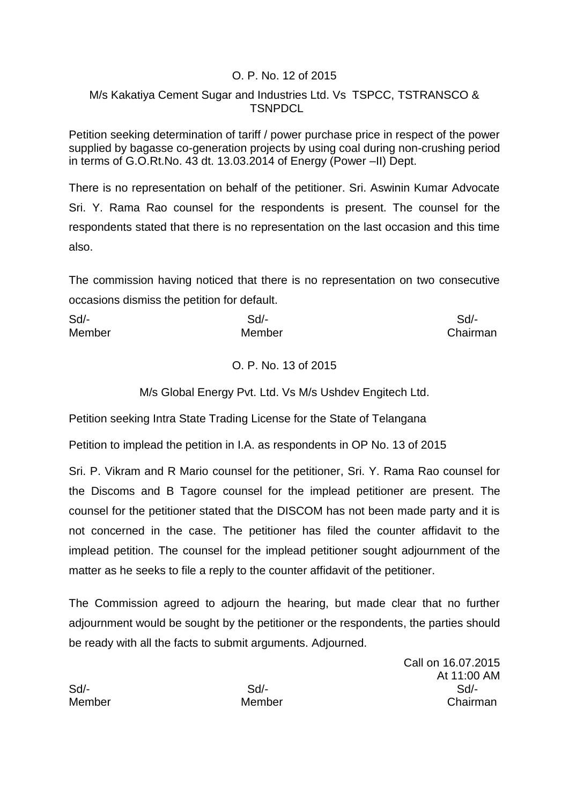#### O. P. No. 12 of 2015

## M/s Kakatiya Cement Sugar and Industries Ltd. Vs TSPCC, TSTRANSCO & TSNPDCL

Petition seeking determination of tariff / power purchase price in respect of the power supplied by bagasse co-generation projects by using coal during non-crushing period in terms of G.O.Rt.No. 43 dt. 13.03.2014 of Energy (Power –II) Dept.

There is no representation on behalf of the petitioner. Sri. Aswinin Kumar Advocate Sri. Y. Rama Rao counsel for the respondents is present. The counsel for the respondents stated that there is no representation on the last occasion and this time also.

The commission having noticed that there is no representation on two consecutive occasions dismiss the petition for default.

| Sd     | Sd/-   | Sd/-     |
|--------|--------|----------|
| Member | Member | Chairman |

## O. P. No. 13 of 2015

M/s Global Energy Pvt. Ltd. Vs M/s Ushdev Engitech Ltd.

Petition seeking Intra State Trading License for the State of Telangana

Petition to implead the petition in I.A. as respondents in OP No. 13 of 2015

Sri. P. Vikram and R Mario counsel for the petitioner, Sri. Y. Rama Rao counsel for the Discoms and B Tagore counsel for the implead petitioner are present. The counsel for the petitioner stated that the DISCOM has not been made party and it is not concerned in the case. The petitioner has filed the counter affidavit to the implead petition. The counsel for the implead petitioner sought adjournment of the matter as he seeks to file a reply to the counter affidavit of the petitioner.

The Commission agreed to adjourn the hearing, but made clear that no further adjournment would be sought by the petitioner or the respondents, the parties should be ready with all the facts to submit arguments. Adjourned.

Call on 16.07.2015 At 11:00 AM Sd/- Sd/- Sd/- Member Member Chairman